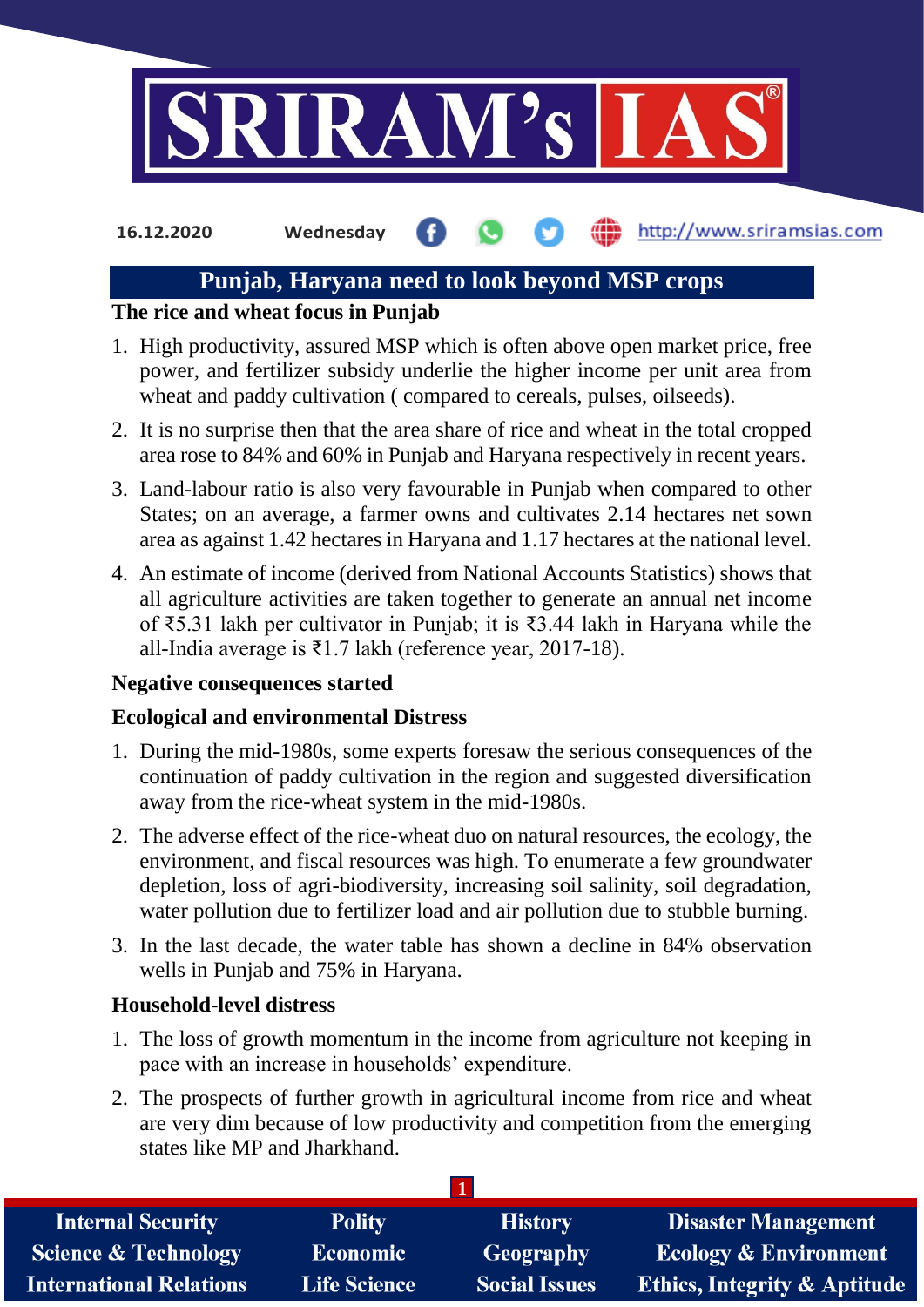

**16.12.2020 Wednesday**

## http://www.sriramsias.com

# **Punjab, Haryana need to look beyond MSP crops**

## **The rice and wheat focus in Punjab**

- 1. High productivity, assured MSP which is often above open market price, free power, and fertilizer subsidy underlie the higher income per unit area from wheat and paddy cultivation (compared to cereals, pulses, oilseeds).
- 2. It is no surprise then that the area share of rice and wheat in the total cropped area rose to 84% and 60% in Punjab and Haryana respectively in recent years.
- 3. Land-labour ratio is also very favourable in Punjab when compared to other States; on an average, a farmer owns and cultivates 2.14 hectares net sown area as against 1.42 hectares in Haryana and 1.17 hectares at the national level.
- 4. An estimate of income (derived from National Accounts Statistics) shows that all agriculture activities are taken together to generate an annual net income of ₹5.31 lakh per cultivator in Punjab; it is ₹3.44 lakh in Haryana while the all-India average is ₹1.7 lakh (reference year, 2017-18).

# **Negative consequences started**

# **Ecological and environmental Distress**

- 1. During the mid-1980s, some experts foresaw the serious consequences of the continuation of paddy cultivation in the region and suggested diversification away from the rice-wheat system in the mid-1980s.
- 2. The adverse effect of the rice-wheat duo on natural resources, the ecology, the environment, and fiscal resources was high. To enumerate a few groundwater depletion, loss of agri-biodiversity, increasing soil salinity, soil degradation, water pollution due to fertilizer load and air pollution due to stubble burning.
- 3. In the last decade, the water table has shown a decline in 84% observation wells in Punjab and 75% in Haryana.

# **Household-level distress**

- 1. The loss of growth momentum in the income from agriculture not keeping in pace with an increase in households' expenditure.
- 2. The prospects of further growth in agricultural income from rice and wheat are very dim because of low productivity and competition from the emerging states like MP and Jharkhand.

| <b>Internal Security</b>        | <b>Polity</b>       | <b>History</b>       | <b>Disaster Management</b>              |
|---------------------------------|---------------------|----------------------|-----------------------------------------|
| <b>Science &amp; Technology</b> | <b>Economic</b>     | Geography            | <b>Ecology &amp; Environment</b>        |
| <b>International Relations</b>  | <b>Life Science</b> | <b>Social Issues</b> | <b>Ethics, Integrity &amp; Aptitude</b> |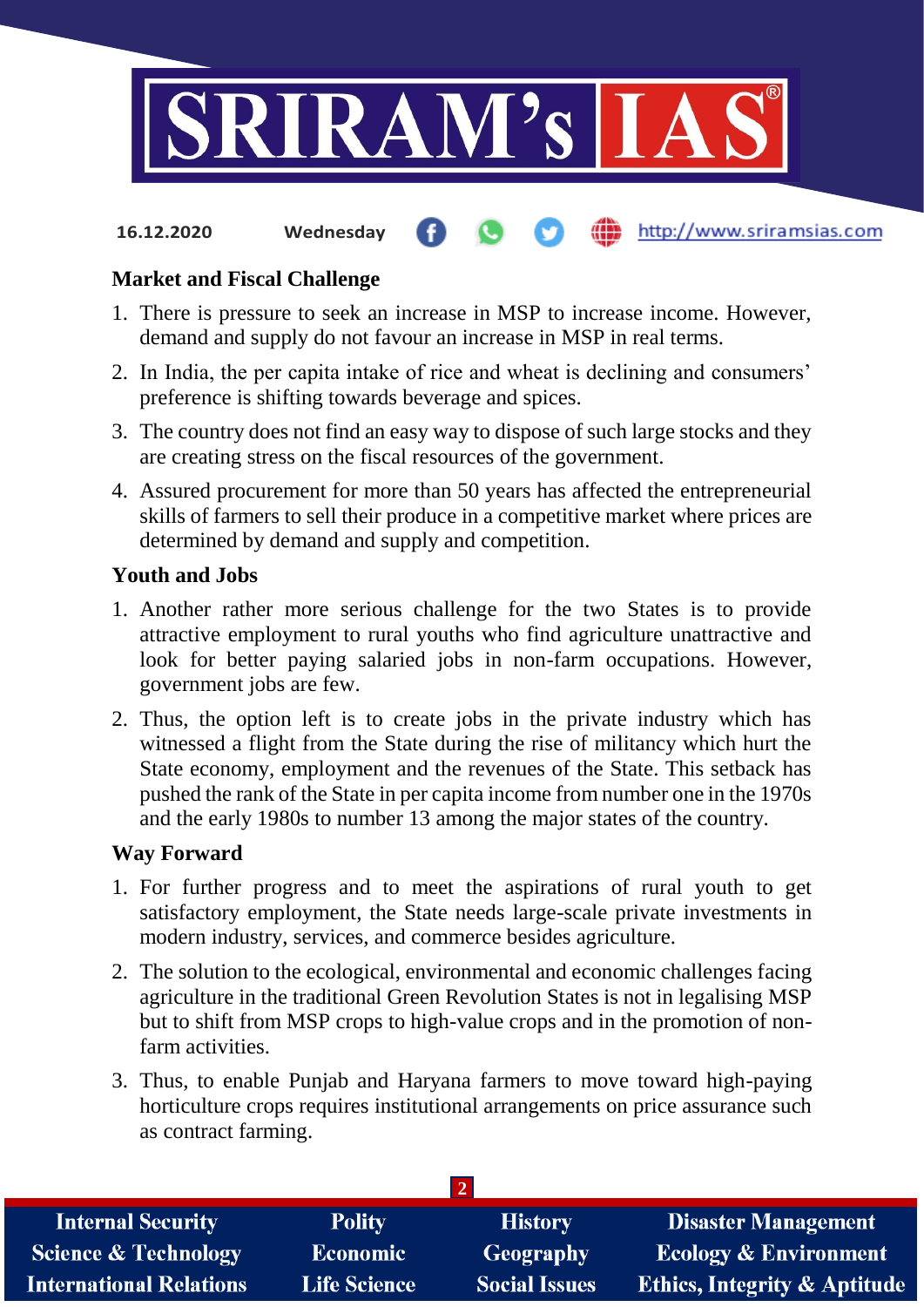

#### **fin** http://www.sriramsias.com **16.12.2020 Wednesday**

#### **Market and Fiscal Challenge**

- 1. There is pressure to seek an increase in MSP to increase income. However, demand and supply do not favour an increase in MSP in real terms.
- 2. In India, the per capita intake of rice and wheat is declining and consumers' preference is shifting towards beverage and spices.
- 3. The country does not find an easy way to dispose of such large stocks and they are creating stress on the fiscal resources of the government.
- 4. Assured procurement for more than 50 years has affected the entrepreneurial skills of farmers to sell their produce in a competitive market where prices are determined by demand and supply and competition.

#### **Youth and Jobs**

- 1. Another rather more serious challenge for the two States is to provide attractive employment to rural youths who find agriculture unattractive and look for better paying salaried jobs in non-farm occupations. However, government jobs are few.
- 2. Thus, the option left is to create jobs in the private industry which has witnessed a flight from the State during the rise of militancy which hurt the State economy, employment and the revenues of the State. This setback has pushed the rank of the State in per capita income from number one in the 1970s and the early 1980s to number 13 among the major states of the country.

#### **Way Forward**

- 1. For further progress and to meet the aspirations of rural youth to get satisfactory employment, the State needs large-scale private investments in modern industry, services, and commerce besides agriculture.
- 2. The solution to the ecological, environmental and economic challenges facing agriculture in the traditional Green Revolution States is not in legalising MSP but to shift from MSP crops to high-value crops and in the promotion of nonfarm activities.
- 3. Thus, to enable Punjab and Haryana farmers to move toward high-paying horticulture crops requires institutional arrangements on price assurance such as contract farming.

| <b>Polity</b>       | <b>History</b>       | <b>Disaster Management</b>              |  |  |
|---------------------|----------------------|-----------------------------------------|--|--|
| <b>Economic</b>     | Geography            | <b>Ecology &amp; Environment</b>        |  |  |
| <b>Life Science</b> | <b>Social Issues</b> | <b>Ethics, Integrity &amp; Aptitude</b> |  |  |
|                     |                      |                                         |  |  |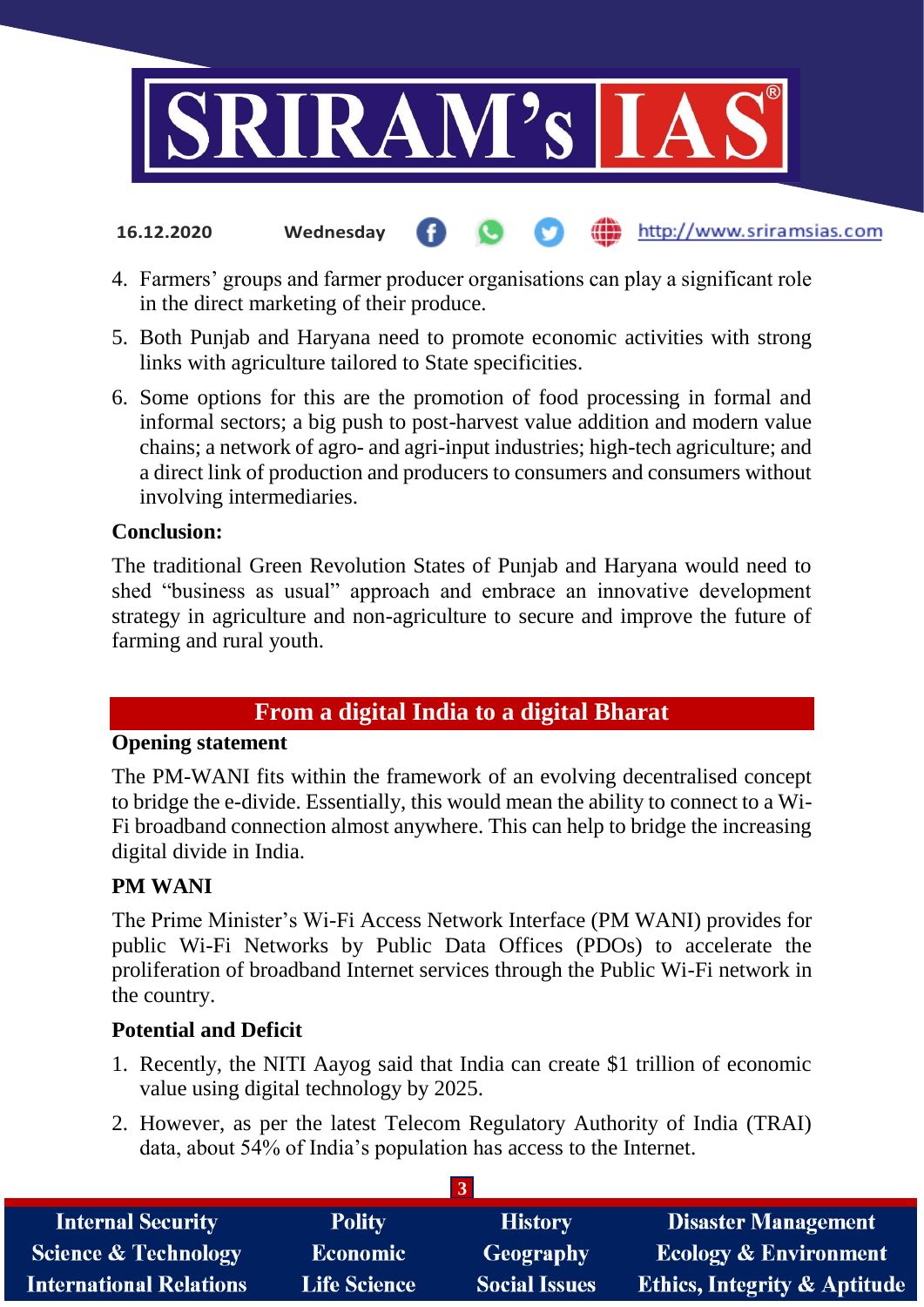

4. Farmers' groups and farmer producer organisations can play a significant role in the direct marketing of their produce.

http://www.sriramsias.com

- 5. Both Punjab and Haryana need to promote economic activities with strong links with agriculture tailored to State specificities.
- 6. Some options for this are the promotion of food processing in formal and informal sectors; a big push to post-harvest value addition and modern value chains; a network of agro- and agri-input industries; high-tech agriculture; and a direct link of production and producers to consumers and consumers without involving intermediaries.

#### **Conclusion:**

**16.12.2020 Wednesday**

The traditional Green Revolution States of Punjab and Haryana would need to shed "business as usual" approach and embrace an innovative development strategy in agriculture and non-agriculture to secure and improve the future of farming and rural youth.

## **From a digital India to a digital Bharat**

#### **Opening statement**

The PM-WANI fits within the framework of an evolving decentralised concept to bridge the e-divide. Essentially, this would mean the ability to connect to a Wi-Fi broadband connection almost anywhere. This can help to bridge the increasing digital divide in India.

## **PM WANI**

The Prime Minister's Wi-Fi Access Network Interface (PM WANI) provides for public Wi-Fi Networks by Public Data Offices (PDOs) to accelerate the proliferation of broadband Internet services through the Public Wi-Fi network in the country.

## **Potential and Deficit**

- 1. Recently, the NITI Aayog said that India can create \$1 trillion of economic value using digital technology by 2025.
- 2. However, as per the latest Telecom Regulatory Authority of India (TRAI) data, about 54% of India's population has access to the Internet.

| <b>Internal Security</b>        | <b>Polity</b>       | <b>History</b>       | <b>Disaster Management</b>              |  |
|---------------------------------|---------------------|----------------------|-----------------------------------------|--|
| <b>Science &amp; Technology</b> | <b>Economic</b>     | Geography            | <b>Ecology &amp; Environment</b>        |  |
| <b>International Relations</b>  | <b>Life Science</b> | <b>Social Issues</b> | <b>Ethics, Integrity &amp; Aptitude</b> |  |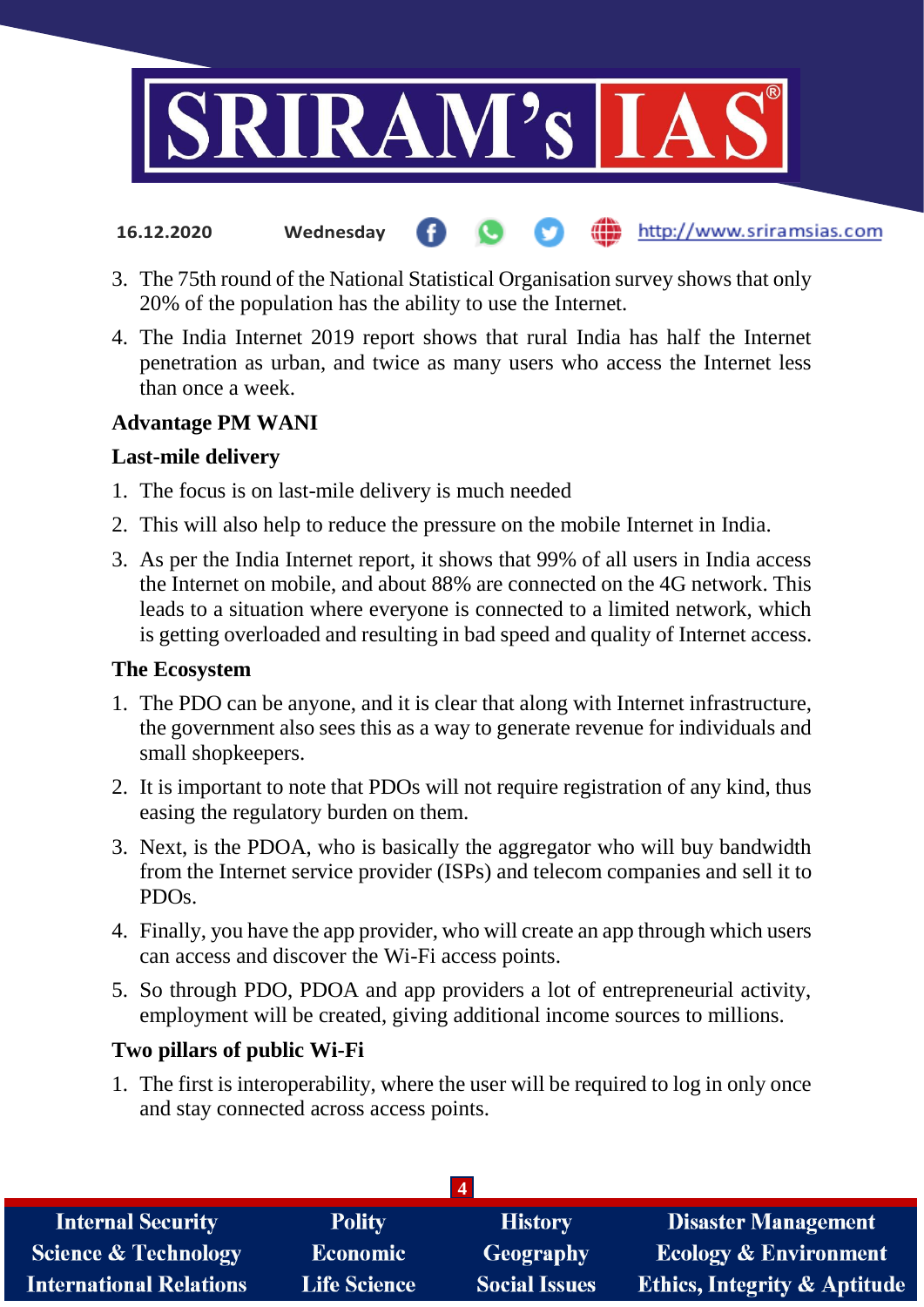

**16.12.2020 Wednesday**

# http://www.sriramsias.com

- 3. The 75th round of the National Statistical Organisation survey shows that only 20% of the population has the ability to use the Internet.
- 4. The India Internet 2019 report shows that rural India has half the Internet penetration as urban, and twice as many users who access the Internet less than once a week.

# **Advantage PM WANI**

# **Last-mile delivery**

- 1. The focus is on last-mile delivery is much needed
- 2. This will also help to reduce the pressure on the mobile Internet in India.
- 3. As per the India Internet report, it shows that 99% of all users in India access the Internet on mobile, and about 88% are connected on the 4G network. This leads to a situation where everyone is connected to a limited network, which is getting overloaded and resulting in bad speed and quality of Internet access.

# **The Ecosystem**

- 1. The PDO can be anyone, and it is clear that along with Internet infrastructure, the government also sees this as a way to generate revenue for individuals and small shopkeepers.
- 2. It is important to note that PDOs will not require registration of any kind, thus easing the regulatory burden on them.
- 3. Next, is the PDOA, who is basically the aggregator who will buy bandwidth from the Internet service provider (ISPs) and telecom companies and sell it to PDOs.
- 4. Finally, you have the app provider, who will create an app through which users can access and discover the Wi-Fi access points.
- 5. So through PDO, PDOA and app providers a lot of entrepreneurial activity, employment will be created, giving additional income sources to millions.

# **Two pillars of public Wi-Fi**

1. The first is interoperability, where the user will be required to log in only once and stay connected across access points.

| <b>Internal Security</b>        | <b>Polity</b>       | <b>History</b>       | <b>Disaster Management</b>              |  |
|---------------------------------|---------------------|----------------------|-----------------------------------------|--|
| <b>Science &amp; Technology</b> | Economic            | <b>Geography</b>     | <b>Ecology &amp; Environment</b>        |  |
| <b>International Relations</b>  | <b>Life Science</b> | <b>Social Issues</b> | <b>Ethics, Integrity &amp; Aptitude</b> |  |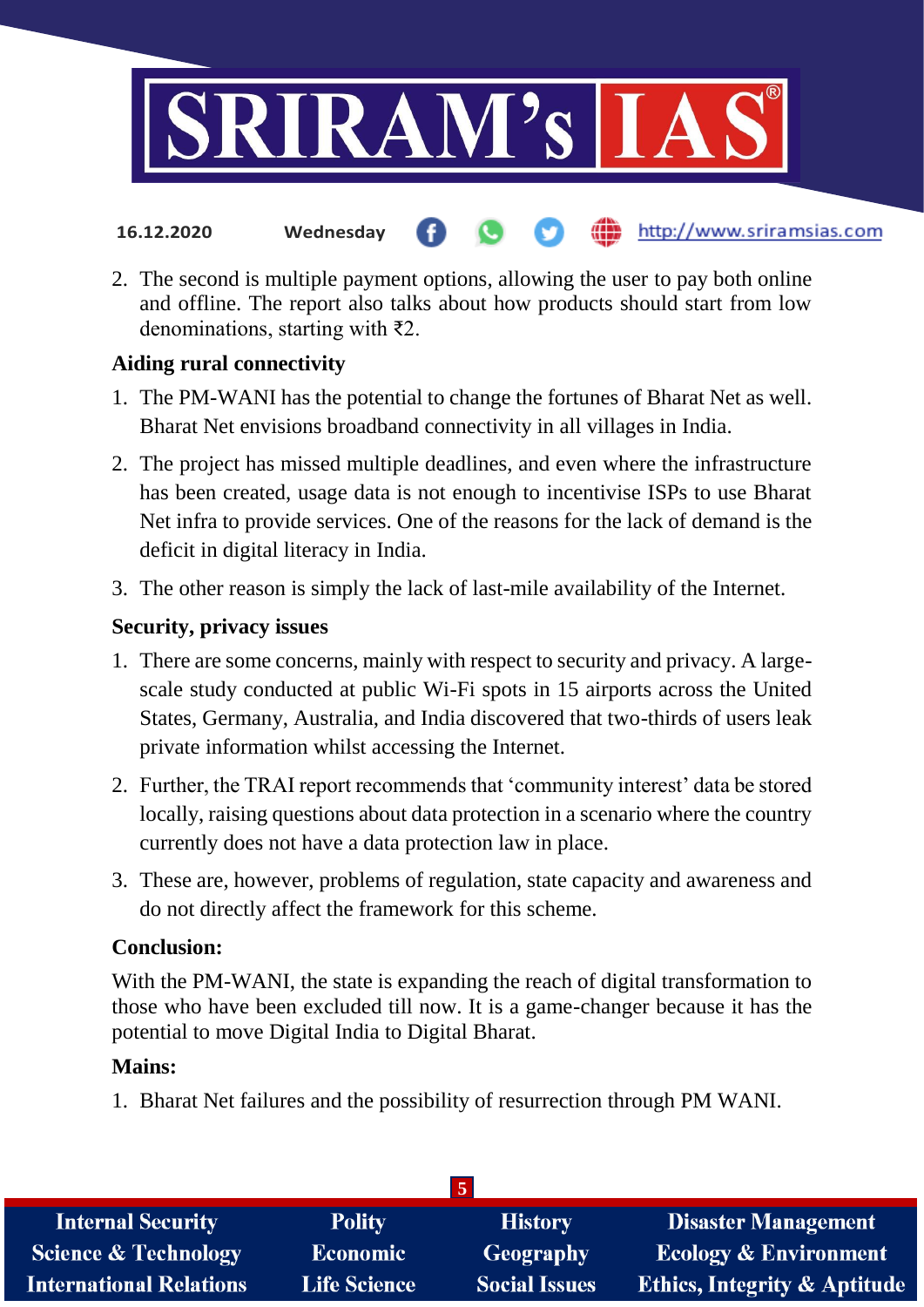

- http://www.sriramsias.com **16.12.2020 Wednesday**
- 2. The second is multiple payment options, allowing the user to pay both online and offline. The report also talks about how products should start from low denominations, starting with ₹2.

## **Aiding rural connectivity**

- 1. The PM-WANI has the potential to change the fortunes of Bharat Net as well. Bharat Net envisions broadband connectivity in all villages in India.
- 2. The project has missed multiple deadlines, and even where the infrastructure has been created, usage data is not enough to incentivise ISPs to use Bharat Net infra to provide services. One of the reasons for the lack of demand is the deficit in digital literacy in India.
- 3. The other reason is simply the lack of last-mile availability of the Internet.

## **Security, privacy issues**

- 1. There are some concerns, mainly with respect to security and privacy. A largescale study conducted at public Wi-Fi spots in 15 airports across the United States, Germany, Australia, and India discovered that two-thirds of users leak private information whilst accessing the Internet.
- 2. Further, the TRAI report recommends that 'community interest' data be stored locally, raising questions about data protection in a scenario where the country currently does not have a data protection law in place.
- 3. These are, however, problems of regulation, state capacity and awareness and do not directly affect the framework for this scheme.

## **Conclusion:**

With the PM-WANI, the state is expanding the reach of digital transformation to those who have been excluded till now. It is a game-changer because it has the potential to move Digital India to Digital Bharat.

## **Mains:**

1. Bharat Net failures and the possibility of resurrection through PM WANI.

| <b>Internal Security</b>        | <b>Polity</b>       | <b>History</b>       | <b>Disaster Management</b>              |  |  |
|---------------------------------|---------------------|----------------------|-----------------------------------------|--|--|
| <b>Science &amp; Technology</b> | <b>Economic</b>     | Geography            | <b>Ecology &amp; Environment</b>        |  |  |
| <b>International Relations</b>  | <b>Life Science</b> | <b>Social Issues</b> | <b>Ethics, Integrity &amp; Aptitude</b> |  |  |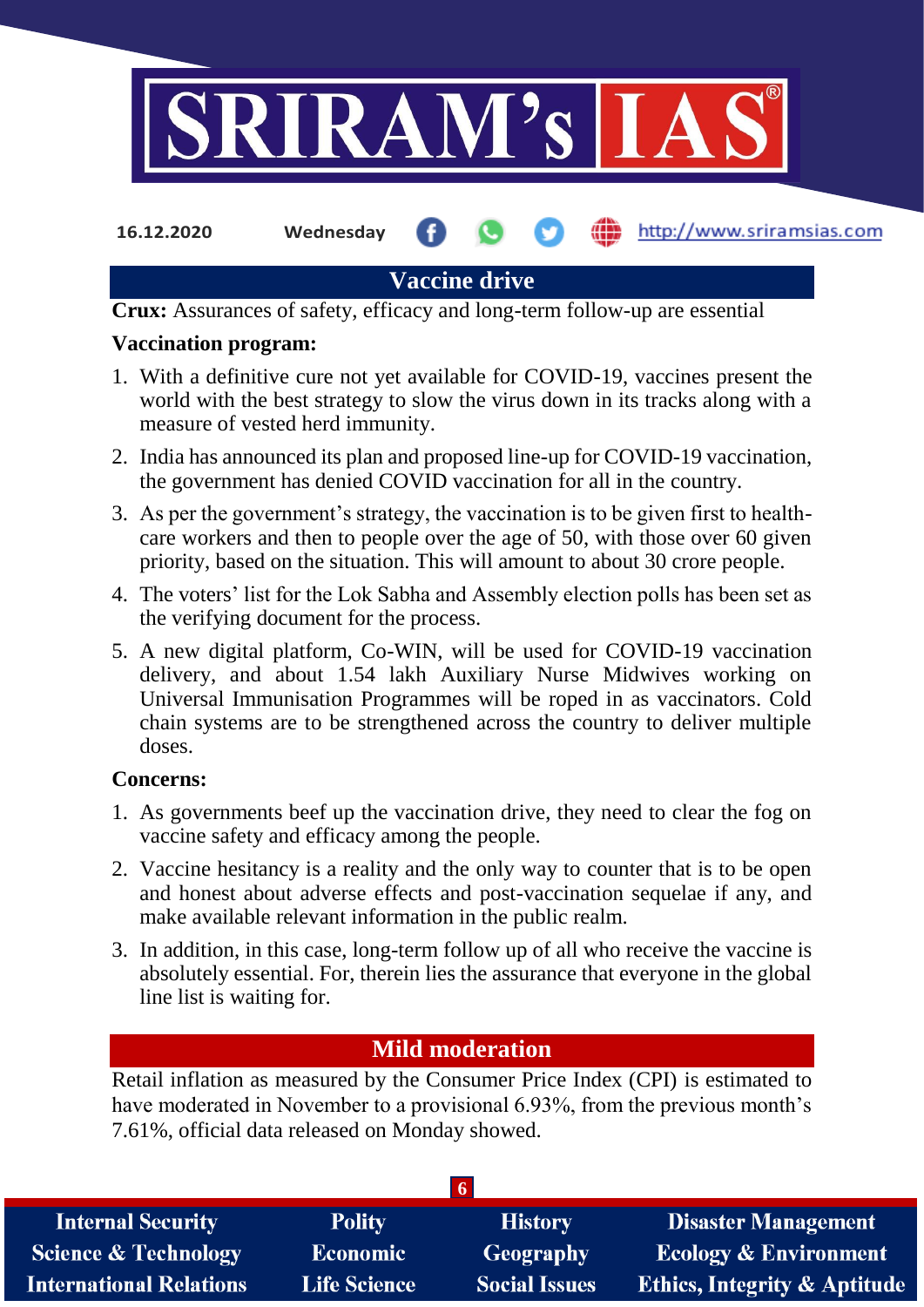

**16.12.2020 Wednesday**

http://www.sriramsias.com

# **Vaccine drive**

**Crux:** Assurances of safety, efficacy and long-term follow-up are essential

#### **Vaccination program:**

- 1. With a definitive cure not yet available for COVID-19, vaccines present the world with the best strategy to slow the virus down in its tracks along with a measure of vested herd immunity.
- 2. India has announced its plan and proposed line-up for COVID-19 vaccination, the government has denied COVID vaccination for all in the country.
- 3. As per the government's strategy, the vaccination is to be given first to healthcare workers and then to people over the age of 50, with those over 60 given priority, based on the situation. This will amount to about 30 crore people.
- 4. The voters' list for the Lok Sabha and Assembly election polls has been set as the verifying document for the process.
- 5. A new digital platform, Co-WIN, will be used for COVID-19 vaccination delivery, and about 1.54 lakh Auxiliary Nurse Midwives working on Universal Immunisation Programmes will be roped in as vaccinators. Cold chain systems are to be strengthened across the country to deliver multiple doses.

## **Concerns:**

- 1. As governments beef up the vaccination drive, they need to clear the fog on vaccine safety and efficacy among the people.
- 2. Vaccine hesitancy is a reality and the only way to counter that is to be open and honest about adverse effects and post-vaccination sequelae if any, and make available relevant information in the public realm.
- 3. In addition, in this case, long-term follow up of all who receive the vaccine is absolutely essential. For, therein lies the assurance that everyone in the global line list is waiting for.

# **Mild moderation**

Retail inflation as measured by the Consumer Price Index (CPI) is estimated to have moderated in November to a provisional 6.93%, from the previous month's 7.61%, official data released on Monday showed.

| <b>Internal Security</b>        | <b>Polity</b>       | <b>History</b>       | <b>Disaster Management</b>              |  |
|---------------------------------|---------------------|----------------------|-----------------------------------------|--|
| <b>Science &amp; Technology</b> | <b>Economic</b>     | Geography            | <b>Ecology &amp; Environment</b>        |  |
| <b>International Relations</b>  | <b>Life Science</b> | <b>Social Issues</b> | <b>Ethics, Integrity &amp; Aptitude</b> |  |
|                                 |                     |                      |                                         |  |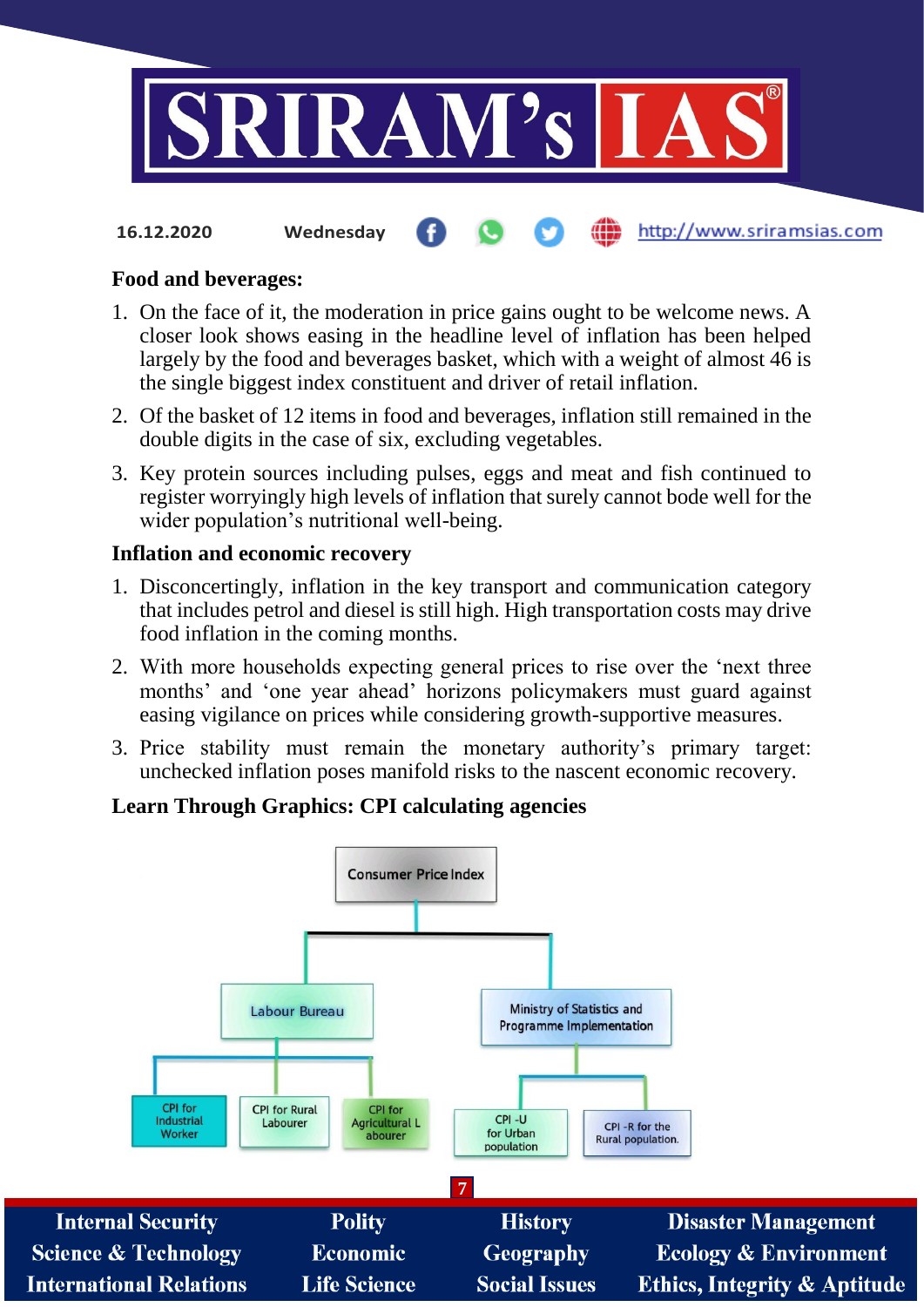

http://www.sriramsias.com **16.12.2020 Wednesday**

#### **Food and beverages:**

- 1. On the face of it, the moderation in price gains ought to be welcome news. A closer look shows easing in the headline level of inflation has been helped largely by the food and beverages basket, which with a weight of almost 46 is the single biggest index constituent and driver of retail inflation.
- 2. Of the basket of 12 items in food and beverages, inflation still remained in the double digits in the case of six, excluding vegetables.
- 3. Key protein sources including pulses, eggs and meat and fish continued to register worryingly high levels of inflation that surely cannot bode well for the wider population's nutritional well-being.

#### **Inflation and economic recovery**

- 1. Disconcertingly, inflation in the key transport and communication category that includes petrol and diesel is still high. High transportation costs may drive food inflation in the coming months.
- 2. With more households expecting general prices to rise over the 'next three months' and 'one year ahead' horizons policymakers must guard against easing vigilance on prices while considering growth-supportive measures.
- 3. Price stability must remain the monetary authority's primary target: unchecked inflation poses manifold risks to the nascent economic recovery.

## **Learn Through Graphics: CPI calculating agencies**

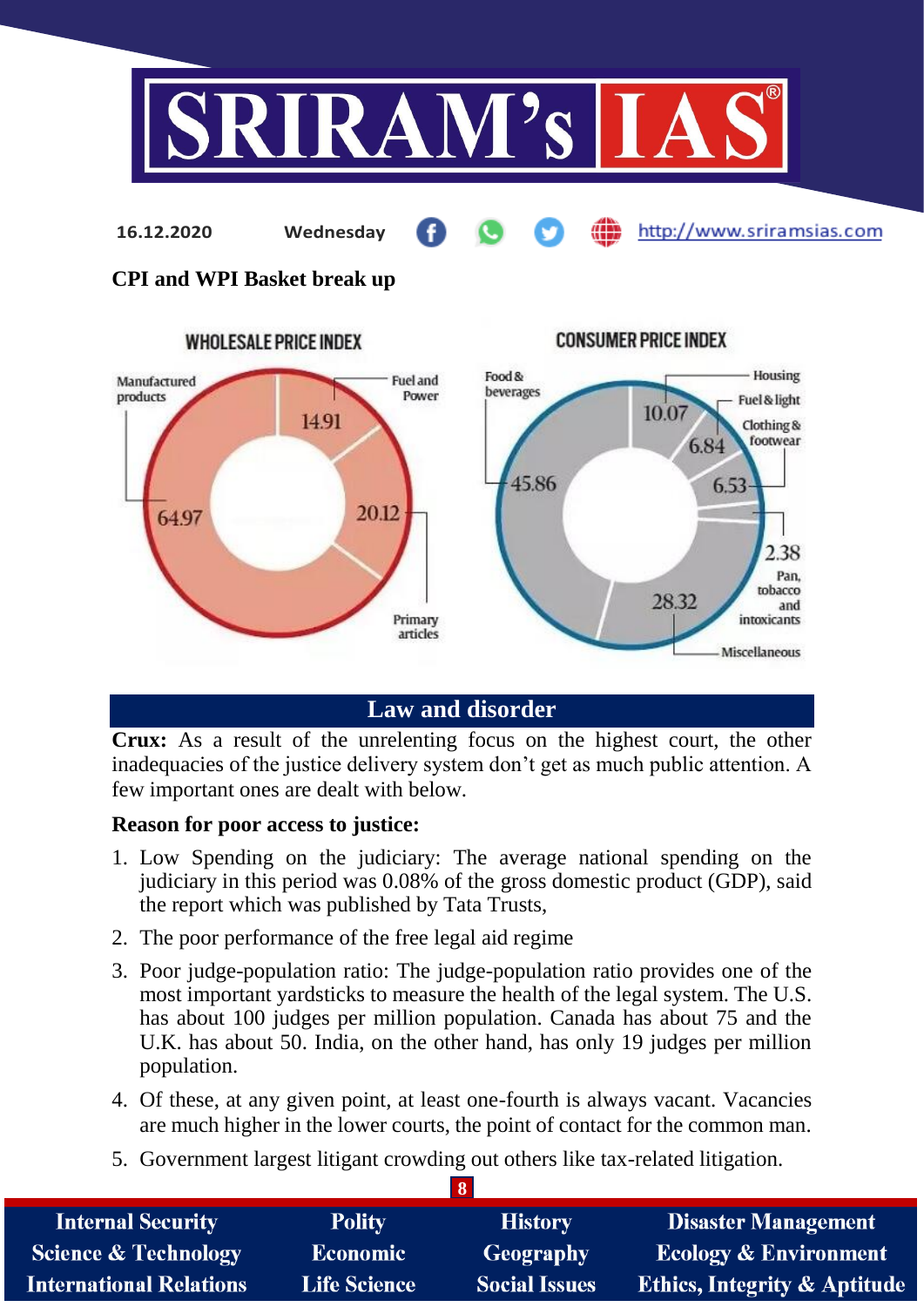

http://www.sriramsias.com

**CPI and WPI Basket break up**

**16.12.2020 Wednesday**



# **Law and disorder**

**Crux:** As a result of the unrelenting focus on the highest court, the other inadequacies of the justice delivery system don't get as much public attention. A few important ones are dealt with below.

#### **Reason for poor access to justice:**

- 1. Low Spending on the judiciary: The average national spending on the judiciary in this period was 0.08% of the gross domestic product (GDP), said the report which was published by Tata Trusts,
- 2. The poor performance of the free legal aid regime
- 3. Poor judge-population ratio: The judge-population ratio provides one of the most important yardsticks to measure the health of the legal system. The U.S. has about 100 judges per million population. Canada has about 75 and the U.K. has about 50. India, on the other hand, has only 19 judges per million population.
- 4. Of these, at any given point, at least one-fourth is always vacant. Vacancies are much higher in the lower courts, the point of contact for the common man.
- 5. Government largest litigant crowding out others like tax-related litigation.

| <b>Internal Security</b>        | <b>Polity</b>       | <b>History</b>       | <b>Disaster Management</b>              |  |
|---------------------------------|---------------------|----------------------|-----------------------------------------|--|
| <b>Science &amp; Technology</b> | <b>Economic</b>     | <b>Geography</b>     | <b>Ecology &amp; Environment</b>        |  |
| <b>International Relations</b>  | <b>Life Science</b> | <b>Social Issues</b> | <b>Ethics, Integrity &amp; Aptitude</b> |  |